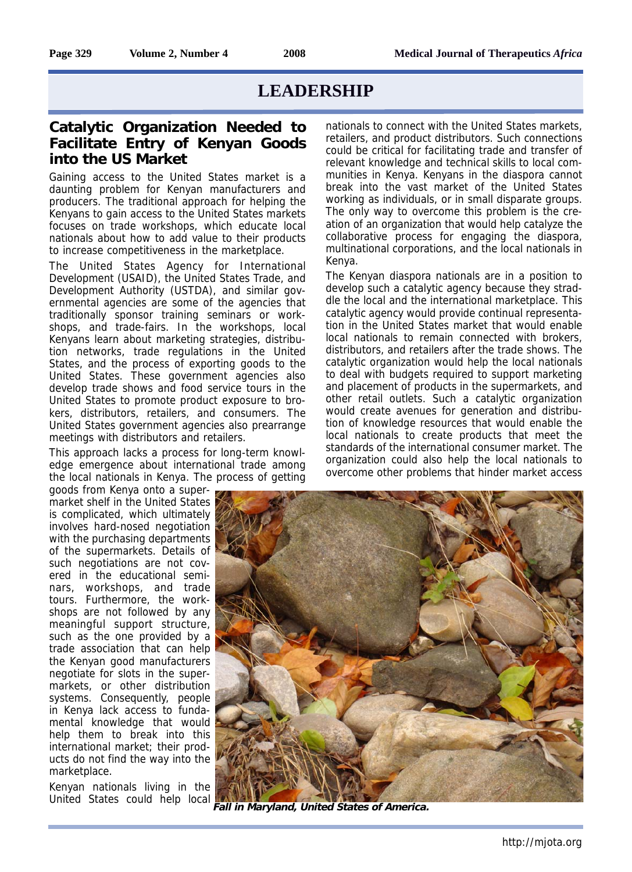## **LEADERSHIP**

## **Catalytic Organization Needed to Facilitate Entry of Kenyan Goods into the US Market**

Gaining access to the United States market is a daunting problem for Kenyan manufacturers and producers. The traditional approach for helping the Kenyans to gain access to the United States markets focuses on trade workshops, which educate local nationals about how to add value to their products to increase competitiveness in the marketplace.

The United States Agency for International Development (USAID), the United States Trade, and Development Authority (USTDA), and similar governmental agencies are some of the agencies that traditionally sponsor training seminars or workshops, and trade-fairs. In the workshops, local Kenyans learn about marketing strategies, distribution networks, trade regulations in the United States, and the process of exporting goods to the United States. These government agencies also develop trade shows and food service tours in the United States to promote product exposure to brokers, distributors, retailers, and consumers. The United States government agencies also prearrange meetings with distributors and retailers.

This approach lacks a process for long-term knowledge emergence about international trade among the local nationals in Kenya. The process of getting

goods from Kenya onto a supermarket shelf in the United States is complicated, which ultimately involves hard-nosed negotiation with the purchasing departments of the supermarkets. Details of such negotiations are not covered in the educational seminars, workshops, and trade tours. Furthermore, the workshops are not followed by any meaningful support structure, such as the one provided by a trade association that can help the Kenyan good manufacturers negotiate for slots in the supermarkets, or other distribution systems. Consequently, people in Kenya lack access to fundamental knowledge that would help them to break into this international market; their products do not find the way into the marketplace.

Kenyan nationals living in the United States could help local

nationals to connect with the United States markets, retailers, and product distributors. Such connections could be critical for facilitating trade and transfer of relevant knowledge and technical skills to local communities in Kenya. Kenyans in the diaspora cannot break into the vast market of the United States working as individuals, or in small disparate groups. The only way to overcome this problem is the creation of an organization that would help catalyze the collaborative process for engaging the diaspora, multinational corporations, and the local nationals in Kenya.

The Kenyan diaspora nationals are in a position to develop such a catalytic agency because they straddle the local and the international marketplace. This catalytic agency would provide continual representation in the United States market that would enable local nationals to remain connected with brokers, distributors, and retailers after the trade shows. The catalytic organization would help the local nationals to deal with budgets required to support marketing and placement of products in the supermarkets, and other retail outlets. Such a catalytic organization would create avenues for generation and distribution of knowledge resources that would enable the local nationals to create products that meet the standards of the international consumer market. The organization could also help the local nationals to overcome other problems that hinder market access



**Fall in Maryland, United States of America.**